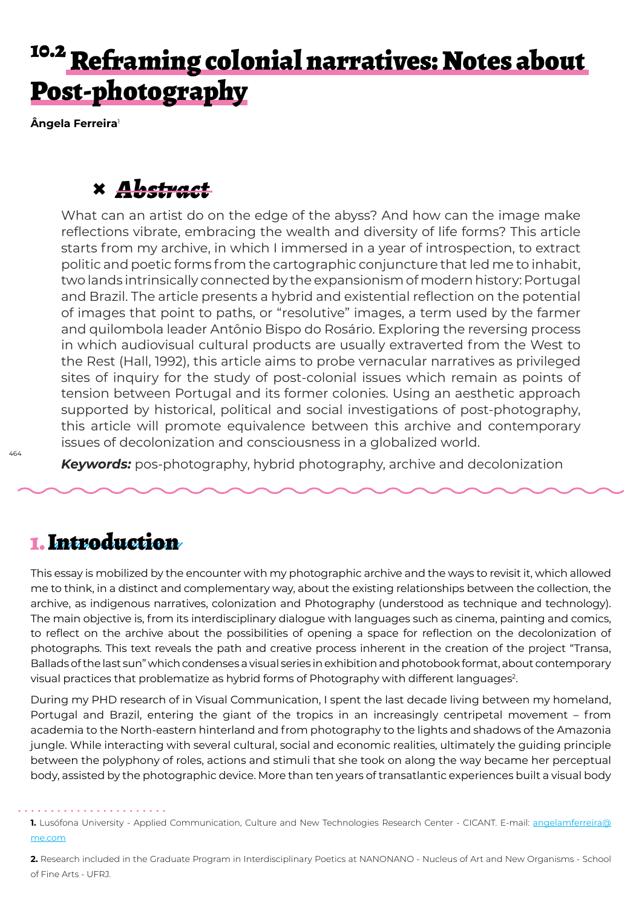# <sup>10.2</sup> Reframing colonial narratives: Notes about Post-photography

**Ângela Ferreira**<sup>1</sup>

## **×** *Abstract*

What can an artist do on the edge of the abyss? And how can the image make reflections vibrate, embracing the wealth and diversity of life forms? This article starts from my archive, in which I immersed in a year of introspection, to extract politic and poetic forms from the cartographic conjuncture that led me to inhabit, two lands intrinsically connected by the expansionism of modern history: Portugal and Brazil. The article presents a hybrid and existential reflection on the potential of images that point to paths, or "resolutive" images, a term used by the farmer and quilombola leader Antônio Bispo do Rosário. Exploring the reversing process in which audiovisual cultural products are usually extraverted from the West to the Rest (Hall, 1992), this article aims to probe vernacular narratives as privileged sites of inquiry for the study of post-colonial issues which remain as points of tension between Portugal and its former colonies. Using an aesthetic approach supported by historical, political and social investigations of post-photography, this article will promote equivalence between this archive and contemporary issues of decolonization and consciousness in a globalized world.

*Keywords:* pos-photography, hybrid photography, archive and decolonization

### 1. Introduction

This essay is mobilized by the encounter with my photographic archive and the ways to revisit it, which allowed me to think, in a distinct and complementary way, about the existing relationships between the collection, the archive, as indigenous narratives, colonization and Photography (understood as technique and technology). The main objective is, from its interdisciplinary dialogue with languages such as cinema, painting and comics, to reflect on the archive about the possibilities of opening a space for reflection on the decolonization of photographs. This text reveals the path and creative process inherent in the creation of the project "Transa, Ballads of the last sun" which condenses a visual series in exhibition and photobook format, about contemporary visual practices that problematize as hybrid forms of Photography with different languages $^{\rm 2}$ .

During my PHD research of in Visual Communication, I spent the last decade living between my homeland, Portugal and Brazil, entering the giant of the tropics in an increasingly centripetal movement – from academia to the North-eastern hinterland and from photography to the lights and shadows of the Amazonia jungle. While interacting with several cultural, social and economic realities, ultimately the guiding principle between the polyphony of roles, actions and stimuli that she took on along the way became her perceptual body, assisted by the photographic device. More than ten years of transatlantic experiences built a visual body

**<sup>1.</sup>** Lusófona University - Applied Communication, Culture and New Technologies Research Center - CICANT. E-mail: angelamferreira@ me.com

**<sup>2.</sup>** Research included in the Graduate Program in Interdisciplinary Poetics at NANONANO - Nucleus of Art and New Organisms - School of Fine Arts - UFRJ.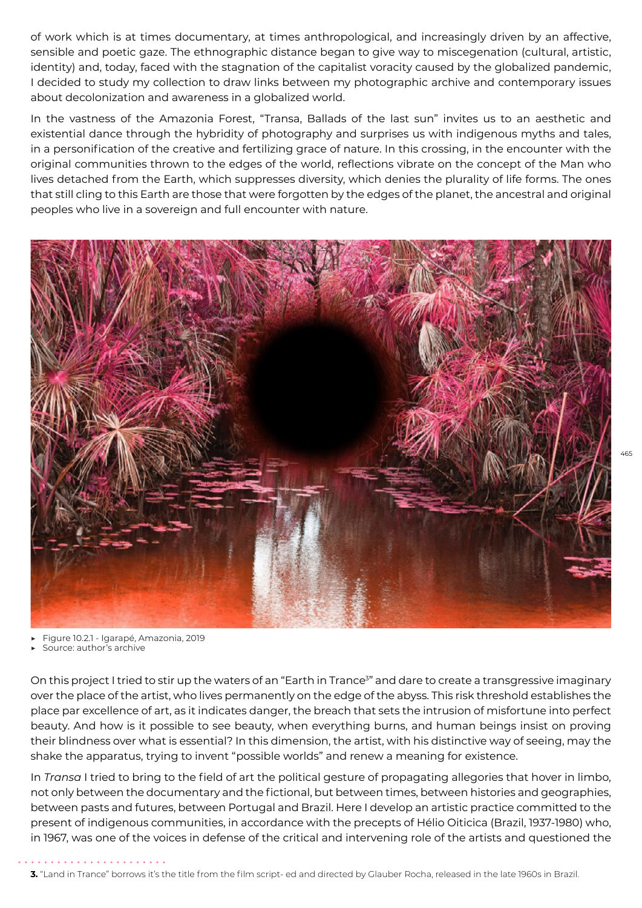of work which is at times documentary, at times anthropological, and increasingly driven by an affective, sensible and poetic gaze. The ethnographic distance began to give way to miscegenation (cultural, artistic, identity) and, today, faced with the stagnation of the capitalist voracity caused by the globalized pandemic, I decided to study my collection to draw links between my photographic archive and contemporary issues about decolonization and awareness in a globalized world.

In the vastness of the Amazonia Forest, "Transa, Ballads of the last sun" invites us to an aesthetic and existential dance through the hybridity of photography and surprises us with indigenous myths and tales, in a personification of the creative and fertilizing grace of nature. In this crossing, in the encounter with the original communities thrown to the edges of the world, reflections vibrate on the concept of the Man who lives detached from the Earth, which suppresses diversity, which denies the plurality of life forms. The ones that still cling to this Earth are those that were forgotten by the edges of the planet, the ancestral and original peoples who live in a sovereign and full encounter with nature.



<sup>▶</sup> Figure 10.2.1 - Igarapé, Amazonia, 2019

Source: author's archive

On this project I tried to stir up the waters of an "Earth in Trance<sup>3</sup>" and dare to create a transgressive imaginary over the place of the artist, who lives permanently on the edge of the abyss. This risk threshold establishes the place par excellence of art, as it indicates danger, the breach that sets the intrusion of misfortune into perfect beauty. And how is it possible to see beauty, when everything burns, and human beings insist on proving their blindness over what is essential? In this dimension, the artist, with his distinctive way of seeing, may the shake the apparatus, trying to invent "possible worlds" and renew a meaning for existence.

In *Transa* I tried to bring to the field of art the political gesture of propagating allegories that hover in limbo, not only between the documentary and the fictional, but between times, between histories and geographies, between pasts and futures, between Portugal and Brazil. Here I develop an artistic practice committed to the present of indigenous communities, in accordance with the precepts of Hélio Oiticica (Brazil, 1937-1980) who, in 1967, was one of the voices in defense of the critical and intervening role of the artists and questioned the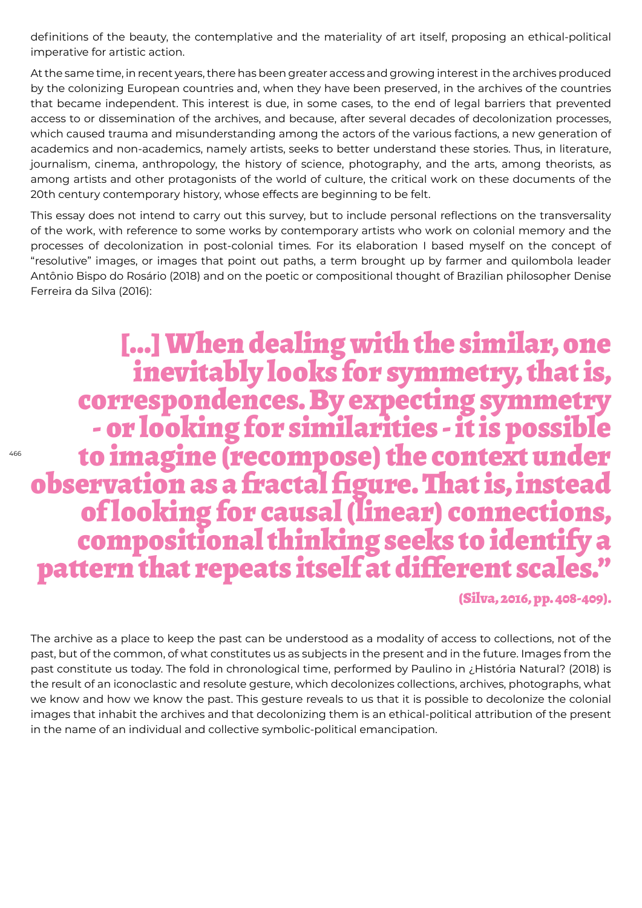definitions of the beauty, the contemplative and the materiality of art itself, proposing an ethical-political imperative for artistic action.

At the same time, in recent years, there has been greater access and growing interest in the archives produced by the colonizing European countries and, when they have been preserved, in the archives of the countries that became independent. This interest is due, in some cases, to the end of legal barriers that prevented access to or dissemination of the archives, and because, after several decades of decolonization processes, which caused trauma and misunderstanding among the actors of the various factions, a new generation of academics and non-academics, namely artists, seeks to better understand these stories. Thus, in literature, journalism, cinema, anthropology, the history of science, photography, and the arts, among theorists, as among artists and other protagonists of the world of culture, the critical work on these documents of the 20th century contemporary history, whose effects are beginning to be felt.

This essay does not intend to carry out this survey, but to include personal reflections on the transversality of the work, with reference to some works by contemporary artists who work on colonial memory and the processes of decolonization in post-colonial times. For its elaboration I based myself on the concept of "resolutive" images, or images that point out paths, a term brought up by farmer and quilombola leader Antônio Bispo do Rosário (2018) and on the poetic or compositional thought of Brazilian philosopher Denise Ferreira da Silva (2016):

[...] When dealing with the similar, one<br>inevitably looks for symmetry, that is, inevitably looks for symmetry, that is, correspondences. By expecting symmetry - or looking for similarities - it is possible to imagine (recompose) the context under observation as a fractal figure. That is, instead of looking for causal (linear) connections, compositional thinking seeks to identify a pattern that repeats itself at different scales."

(Silva, 2016, pp. 408-409).

The archive as a place to keep the past can be understood as a modality of access to collections, not of the past, but of the common, of what constitutes us as subjects in the present and in the future. Images from the past constitute us today. The fold in chronological time, performed by Paulino in ¿História Natural? (2018) is the result of an iconoclastic and resolute gesture, which decolonizes collections, archives, photographs, what we know and how we know the past. This gesture reveals to us that it is possible to decolonize the colonial images that inhabit the archives and that decolonizing them is an ethical-political attribution of the present in the name of an individual and collective symbolic-political emancipation.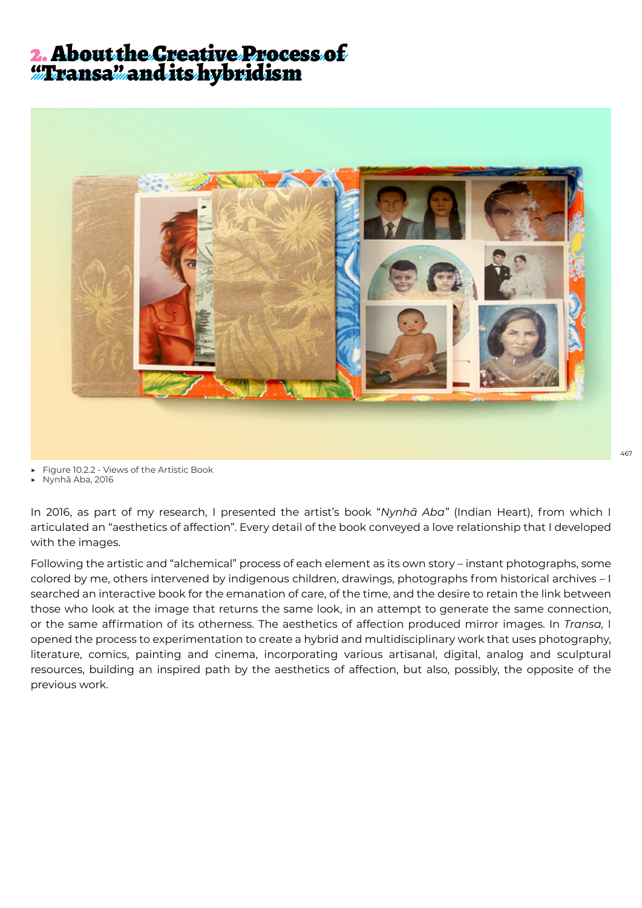### 2. About the Creative Process of "Transa" and its hybridism



▶ Figure 10.2.2 - Views of the Artistic Book

▶ Nynhã Aba, 2016

In 2016, as part of my research, I presented the artist's book "*Nynhã Aba"* (Indian Heart), from which I articulated an "aesthetics of affection". Every detail of the book conveyed a love relationship that I developed with the images.

Following the artistic and "alchemical" process of each element as its own story – instant photographs, some colored by me, others intervened by indigenous children, drawings, photographs from historical archives – I searched an interactive book for the emanation of care, of the time, and the desire to retain the link between those who look at the image that returns the same look, in an attempt to generate the same connection, or the same affirmation of its otherness. The aesthetics of affection produced mirror images. In *Transa,* I opened the process to experimentation to create a hybrid and multidisciplinary work that uses photography, literature, comics, painting and cinema, incorporating various artisanal, digital, analog and sculptural resources, building an inspired path by the aesthetics of affection, but also, possibly, the opposite of the previous work.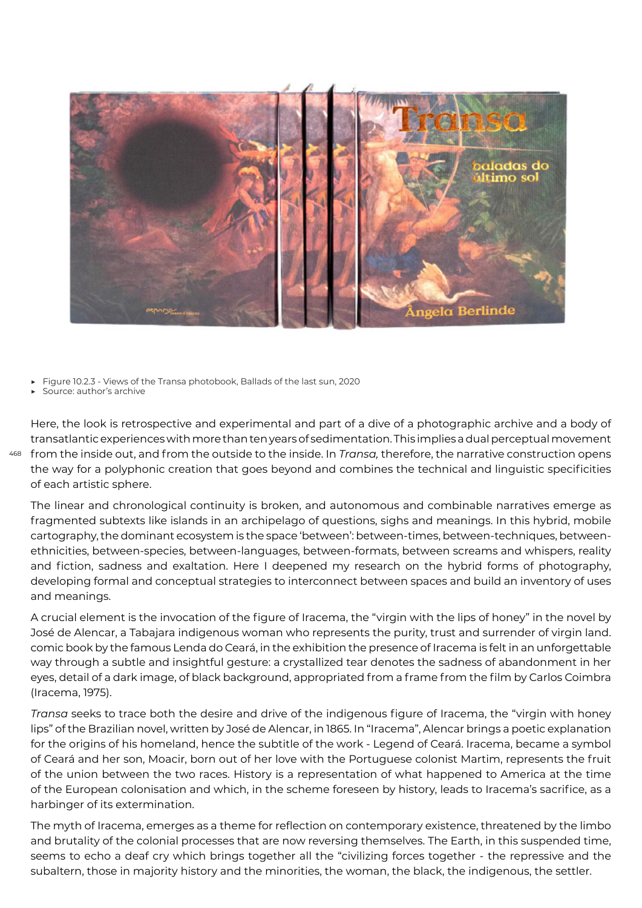

Figure 10.2.3 - Views of the Transa photobook, Ballads of the last sun, 2020

Source: author's archive

468 from the inside out, and from the outside to the inside. In *Transa,* therefore, the narrative construction opens Here, the look is retrospective and experimental and part of a dive of a photographic archive and a body of transatlantic experiences with more than ten years of sedimentation. This implies a dual perceptual movement the way for a polyphonic creation that goes beyond and combines the technical and linguistic specificities of each artistic sphere.

The linear and chronological continuity is broken, and autonomous and combinable narratives emerge as fragmented subtexts like islands in an archipelago of questions, sighs and meanings. In this hybrid, mobile cartography, the dominant ecosystem is the space 'between': between-times, between-techniques, betweenethnicities, between-species, between-languages, between-formats, between screams and whispers, reality and fiction, sadness and exaltation. Here I deepened my research on the hybrid forms of photography, developing formal and conceptual strategies to interconnect between spaces and build an inventory of uses and meanings.

A crucial element is the invocation of the figure of Iracema, the "virgin with the lips of honey" in the novel by José de Alencar, a Tabajara indigenous woman who represents the purity, trust and surrender of virgin land. comic book by the famous Lenda do Ceará, in the exhibition the presence of Iracema is felt in an unforgettable way through a subtle and insightful gesture: a crystallized tear denotes the sadness of abandonment in her eyes, detail of a dark image, of black background, appropriated from a frame from the film by Carlos Coimbra (Iracema, 1975).

*Transa* seeks to trace both the desire and drive of the indigenous figure of Iracema, the "virgin with honey lips" of the Brazilian novel, written by José de Alencar, in 1865. In "Iracema", Alencar brings a poetic explanation for the origins of his homeland, hence the subtitle of the work - Legend of Ceará. Iracema, became a symbol of Ceará and her son, Moacir, born out of her love with the Portuguese colonist Martim, represents the fruit of the union between the two races. History is a representation of what happened to America at the time of the European colonisation and which, in the scheme foreseen by history, leads to Iracema's sacrifice, as a harbinger of its extermination.

The myth of Iracema, emerges as a theme for reflection on contemporary existence, threatened by the limbo and brutality of the colonial processes that are now reversing themselves. The Earth, in this suspended time, seems to echo a deaf cry which brings together all the "civilizing forces together - the repressive and the subaltern, those in majority history and the minorities, the woman, the black, the indigenous, the settler.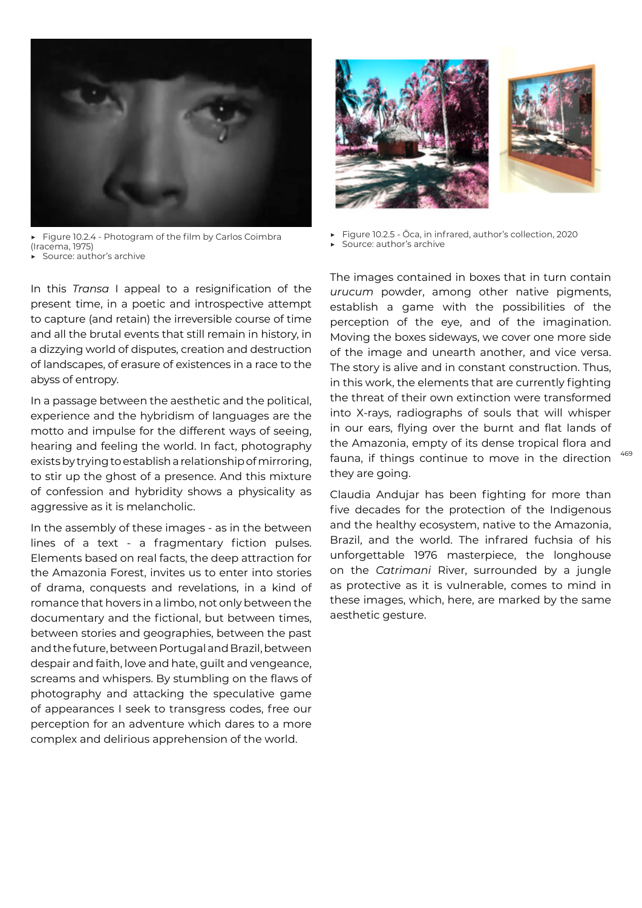

Figure 10.2.4 - Photogram of the film by Carlos Coimbra (Iracema, 1975) Source: author's archive

In this *Transa* I appeal to a resignification of the present time, in a poetic and introspective attempt to capture (and retain) the irreversible course of time and all the brutal events that still remain in history, in a dizzying world of disputes, creation and destruction of landscapes, of erasure of existences in a race to the abyss of entropy.

In a passage between the aesthetic and the political, experience and the hybridism of languages are the motto and impulse for the different ways of seeing, hearing and feeling the world. In fact, photography exists by trying to establish a relationship of mirroring, to stir up the ghost of a presence. And this mixture of confession and hybridity shows a physicality as aggressive as it is melancholic.

In the assembly of these images - as in the between lines of a text - a fragmentary fiction pulses. Elements based on real facts, the deep attraction for the Amazonia Forest, invites us to enter into stories of drama, conquests and revelations, in a kind of romance that hovers in a limbo, not only between the documentary and the fictional, but between times, between stories and geographies, between the past and the future, between Portugal and Brazil, between despair and faith, love and hate, guilt and vengeance, screams and whispers. By stumbling on the flaws of photography and attacking the speculative game of appearances I seek to transgress codes, free our perception for an adventure which dares to a more complex and delirious apprehension of the world.



- ▶ Figure 10.2.5 Ôca, in infrared, author's collection, 2020
- Source: author's archive

The images contained in boxes that in turn contain *urucum* powder, among other native pigments, establish a game with the possibilities of the perception of the eye, and of the imagination. Moving the boxes sideways, we cover one more side of the image and unearth another, and vice versa. The story is alive and in constant construction. Thus, in this work, the elements that are currently fighting the threat of their own extinction were transformed into X-rays, radiographs of souls that will whisper in our ears, flying over the burnt and flat lands of the Amazonia, empty of its dense tropical flora and fauna, if things continue to move in the direction they are going.

469

Claudia Andujar has been fighting for more than five decades for the protection of the Indigenous and the healthy ecosystem, native to the Amazonia, Brazil, and the world. The infrared fuchsia of his unforgettable 1976 masterpiece, the longhouse on the *Catrimani* River, surrounded by a jungle as protective as it is vulnerable, comes to mind in these images, which, here, are marked by the same aesthetic gesture.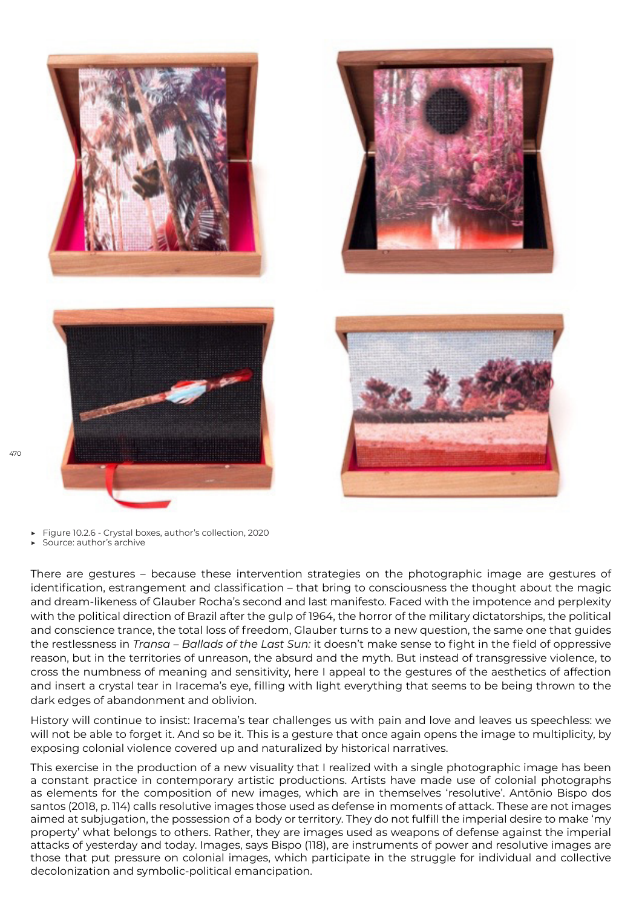

▶ Figure 10.2.6 - Crystal boxes, author's collection, 2020

Source: author's archive

There are gestures – because these intervention strategies on the photographic image are gestures of identification, estrangement and classification – that bring to consciousness the thought about the magic and dream-likeness of Glauber Rocha's second and last manifesto. Faced with the impotence and perplexity with the political direction of Brazil after the gulp of 1964, the horror of the military dictatorships, the political and conscience trance, the total loss of freedom, Glauber turns to a new question, the same one that guides the restlessness in *Transa – Ballads of the Last Sun:* it doesn't make sense to fight in the field of oppressive reason, but in the territories of unreason, the absurd and the myth. But instead of transgressive violence, to cross the numbness of meaning and sensitivity, here I appeal to the gestures of the aesthetics of affection and insert a crystal tear in Iracema's eye, filling with light everything that seems to be being thrown to the dark edges of abandonment and oblivion.

History will continue to insist: Iracema's tear challenges us with pain and love and leaves us speechless: we will not be able to forget it. And so be it. This is a gesture that once again opens the image to multiplicity, by exposing colonial violence covered up and naturalized by historical narratives.

This exercise in the production of a new visuality that I realized with a single photographic image has been a constant practice in contemporary artistic productions. Artists have made use of colonial photographs as elements for the composition of new images, which are in themselves 'resolutive'. Antônio Bispo dos santos (2018, p. 114) calls resolutive images those used as defense in moments of attack. These are not images aimed at subjugation, the possession of a body or territory. They do not fulfill the imperial desire to make 'my property' what belongs to others. Rather, they are images used as weapons of defense against the imperial attacks of yesterday and today. Images, says Bispo (118), are instruments of power and resolutive images are those that put pressure on colonial images, which participate in the struggle for individual and collective decolonization and symbolic-political emancipation.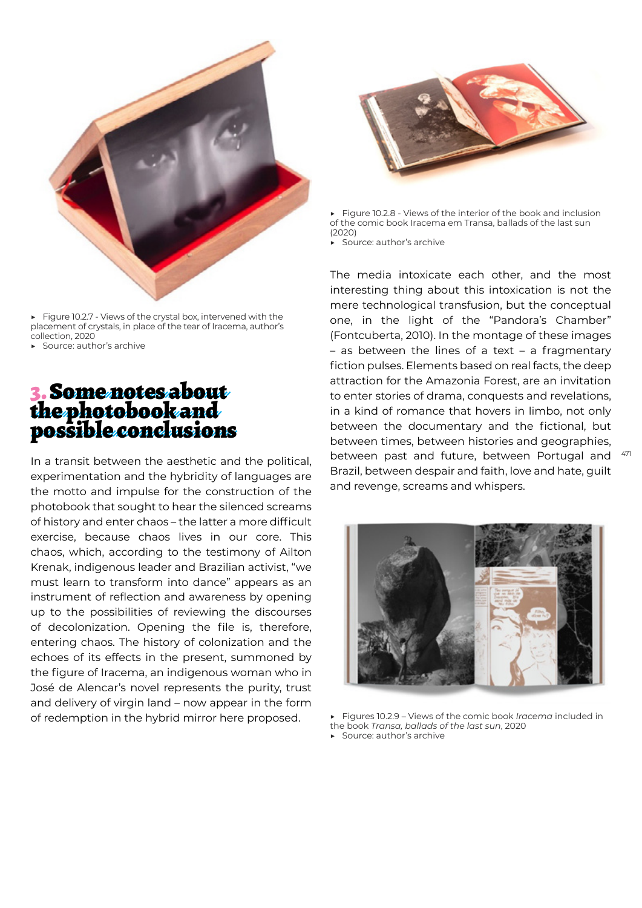

Figure 10.2.7 - Views of the crystal box, intervened with the placement of crystals, in place of the tear of Iracema, author's collection, 2020

▶ Source: author's archive

### Some notes about the photobook and possible conclusions

In a transit between the aesthetic and the political, experimentation and the hybridity of languages are the motto and impulse for the construction of the photobook that sought to hear the silenced screams of history and enter chaos – the latter a more difficult exercise, because chaos lives in our core. This chaos, which, according to the testimony of Ailton Krenak, indigenous leader and Brazilian activist, "we must learn to transform into dance" appears as an instrument of reflection and awareness by opening up to the possibilities of reviewing the discourses of decolonization. Opening the file is, therefore, entering chaos. The history of colonization and the echoes of its effects in the present, summoned by the figure of Iracema, an indigenous woman who in José de Alencar's novel represents the purity, trust and delivery of virgin land – now appear in the form of redemption in the hybrid mirror here proposed.



▶ Figure 10.2.8 - Views of the interior of the book and inclusion of the comic book Iracema em Transa, ballads of the last sun (2020)

▶ Source: author's archive

The media intoxicate each other, and the most interesting thing about this intoxication is not the mere technological transfusion, but the conceptual one, in the light of the "Pandora's Chamber" (Fontcuberta, 2010). In the montage of these images – as between the lines of a text – a fragmentary fiction pulses. Elements based on real facts, the deep attraction for the Amazonia Forest, are an invitation to enter stories of drama, conquests and revelations, in a kind of romance that hovers in limbo, not only between the documentary and the fictional, but between times, between histories and geographies, between past and future, between Portugal and Brazil, between despair and faith, love and hate, guilt and revenge, screams and whispers.



▶ Figures 10.2.9 – Views of the comic book *Iracema* included in the book *Transa, ballads of the last sun*, 2020 ▶ Source: author's archive